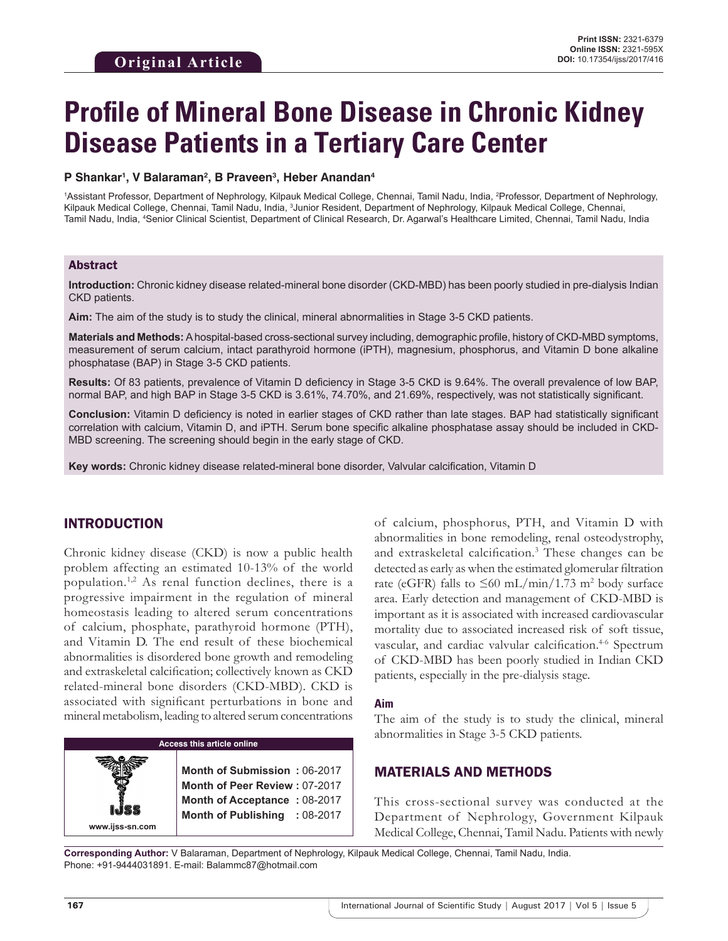# **Profile of Mineral Bone Disease in Chronic Kidney Disease Patients in a Tertiary Care Center**

#### **P Shankar1 , V Balaraman2 , B Praveen3 , Heber Anandan4**

<sup>1</sup>Assistant Professor, Department of Nephrology, Kilpauk Medical College, Chennai, Tamil Nadu, India, <sup>2</sup>Professor, Department of Nephrology, Kilpauk Medical College, Chennai, Tamil Nadu, India, 3 Junior Resident, Department of Nephrology, Kilpauk Medical College, Chennai, Tamil Nadu, India, 4 Senior Clinical Scientist, Department of Clinical Research, Dr. Agarwal's Healthcare Limited, Chennai, Tamil Nadu, India

#### Abstract

**Introduction:** Chronic kidney disease related-mineral bone disorder (CKD-MBD) has been poorly studied in pre-dialysis Indian CKD patients.

**Aim:** The aim of the study is to study the clinical, mineral abnormalities in Stage 3-5 CKD patients.

**Materials and Methods:** A hospital-based cross-sectional survey including, demographic profile, history of CKD-MBD symptoms, measurement of serum calcium, intact parathyroid hormone (iPTH), magnesium, phosphorus, and Vitamin D bone alkaline phosphatase (BAP) in Stage 3-5 CKD patients.

**Results:** Of 83 patients, prevalence of Vitamin D deficiency in Stage 3-5 CKD is 9.64%. The overall prevalence of low BAP, normal BAP, and high BAP in Stage 3-5 CKD is 3.61%, 74.70%, and 21.69%, respectively, was not statistically significant.

**Conclusion:** Vitamin D deficiency is noted in earlier stages of CKD rather than late stages. BAP had statistically significant correlation with calcium, Vitamin D, and iPTH. Serum bone specific alkaline phosphatase assay should be included in CKD-MBD screening. The screening should begin in the early stage of CKD.

**Key words:** Chronic kidney disease related-mineral bone disorder, Valvular calcification, Vitamin D

#### INTRODUCTION

Chronic kidney disease (CKD) is now a public health problem affecting an estimated 10-13% of the world population.1,2 As renal function declines, there is a progressive impairment in the regulation of mineral homeostasis leading to altered serum concentrations of calcium, phosphate, parathyroid hormone (PTH), and Vitamin D. The end result of these biochemical abnormalities is disordered bone growth and remodeling and extraskeletal calcification; collectively known as CKD related-mineral bone disorders (CKD-MBD). CKD is associated with significant perturbations in bone and mineral metabolism, leading to altered serum concentrations

# **Access this article online**

**Month of Submission :** 06-2017 **Month of Peer Review :** 07-2017 **Month of Acceptance :** 08-2017 **Month of Publishing :** 08-2017 of calcium, phosphorus, PTH, and Vitamin D with abnormalities in bone remodeling, renal osteodystrophy, and extraskeletal calcification.<sup>3</sup> These changes can be detected as early as when the estimated glomerular filtration rate (eGFR) falls to  $\leq 60$  mL/min/1.73 m<sup>2</sup> body surface area. Early detection and management of CKD-MBD is important as it is associated with increased cardiovascular mortality due to associated increased risk of soft tissue, vascular, and cardiac valvular calcification.<sup>4-6</sup> Spectrum of CKD-MBD has been poorly studied in Indian CKD patients, especially in the pre-dialysis stage.

#### **Aim**

The aim of the study is to study the clinical, mineral abnormalities in Stage 3-5 CKD patients.

#### MATERIALS AND METHODS

This cross-sectional survey was conducted at the Department of Nephrology, Government Kilpauk Medical College, Chennai, Tamil Nadu. Patients with newly

**Corresponding Author:** V Balaraman, Department of Nephrology, Kilpauk Medical College, Chennai, Tamil Nadu, India. Phone: +91-9444031891. E-mail: Balammc87@hotmail.com

**www.ijss-sn.com**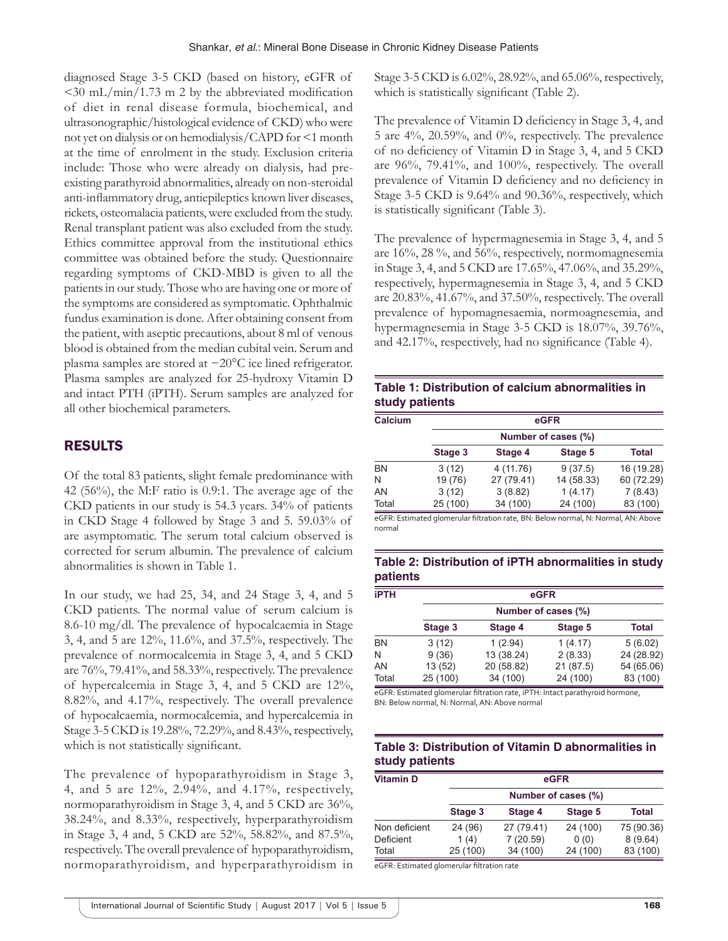diagnosed Stage 3-5 CKD (based on history, eGFR of  $\langle$ 30 mL/min/1.73 m 2 by the abbreviated modification of diet in renal disease formula, biochemical, and ultrasonographic/histological evidence of CKD) who were not yet on dialysis or on hemodialysis/CAPD for <1 month at the time of enrolment in the study. Exclusion criteria include: Those who were already on dialysis, had preexisting parathyroid abnormalities, already on non-steroidal anti-inflammatory drug, antiepileptics known liver diseases, rickets, osteomalacia patients, were excluded from the study. Renal transplant patient was also excluded from the study. Ethics committee approval from the institutional ethics committee was obtained before the study. Questionnaire regarding symptoms of CKD-MBD is given to all the patients in our study. Those who are having one or more of the symptoms are considered as symptomatic. Ophthalmic fundus examination is done. After obtaining consent from the patient, with aseptic precautions, about 8 ml of venous blood is obtained from the median cubital vein. Serum and plasma samples are stored at −20°C ice lined refrigerator. Plasma samples are analyzed for 25-hydroxy Vitamin D and intact PTH (iPTH). Serum samples are analyzed for all other biochemical parameters.

# RESULTS

Of the total 83 patients, slight female predominance with 42 (56%), the M:F ratio is 0.9:1. The average age of the CKD patients in our study is 54.3 years. 34% of patients in CKD Stage 4 followed by Stage 3 and 5. 59.03% of are asymptomatic. The serum total calcium observed is corrected for serum albumin. The prevalence of calcium abnormalities is shown in Table 1.

In our study, we had 25, 34, and 24 Stage 3, 4, and 5 CKD patients. The normal value of serum calcium is 8.6-10 mg/dl. The prevalence of hypocalcaemia in Stage 3, 4, and 5 are 12%, 11.6%, and 37.5%, respectively. The prevalence of normocalcemia in Stage 3, 4, and 5 CKD are 76%, 79.41%, and 58.33%, respectively. The prevalence of hypercalcemia in Stage 3, 4, and 5 CKD are 12%, 8.82%, and 4.17%, respectively. The overall prevalence of hypocalcaemia, normocalcemia, and hypercalcemia in Stage 3-5 CKD is 19.28%, 72.29%, and 8.43%, respectively, which is not statistically significant.

The prevalence of hypoparathyroidism in Stage 3, 4, and 5 are 12%, 2.94%, and 4.17%, respectively, normoparathyroidism in Stage 3, 4, and 5 CKD are 36%, 38.24%, and 8.33%, respectively, hyperparathyroidism in Stage 3, 4 and, 5 CKD are 52%, 58.82%, and 87.5%, respectively. The overall prevalence of hypoparathyroidism, normoparathyroidism, and hyperparathyroidism in Stage 3-5 CKD is 6.02%, 28.92%, and 65.06%, respectively, which is statistically significant (Table 2).

The prevalence of Vitamin D deficiency in Stage 3, 4, and 5 are 4%, 20.59%, and 0%, respectively. The prevalence of no deficiency of Vitamin D in Stage 3, 4, and 5 CKD are 96%, 79.41%, and 100%, respectively. The overall prevalence of Vitamin D deficiency and no deficiency in Stage 3-5 CKD is 9.64% and 90.36%, respectively, which is statistically significant (Table 3).

The prevalence of hypermagnesemia in Stage 3, 4, and 5 are 16%, 28 %, and 56%, respectively, normomagnesemia in Stage 3, 4, and 5 CKD are 17.65%, 47.06%, and 35.29%, respectively, hypermagnesemia in Stage 3, 4, and 5 CKD are 20.83%, 41.67%, and 37.50%, respectively. The overall prevalence of hypomagnesaemia, normoagnesemia, and hypermagnesemia in Stage 3-5 CKD is 18.07%, 39.76%, and 42.17%, respectively, had no significance (Table 4).

## **Table 1: Distribution of calcium abnormalities in study patients**

| Calcium   | eGFR<br>Number of cases (%) |            |            |            |  |
|-----------|-----------------------------|------------|------------|------------|--|
|           |                             |            |            |            |  |
| <b>BN</b> | 3(12)                       | 4 (11.76)  | 9(37.5)    | 16 (19.28) |  |
| N         | 19 (76)                     | 27 (79.41) | 14 (58.33) | 60 (72.29) |  |
| AN        | 3(12)                       | 3(8.82)    | 1(4.17)    | 7(8.43)    |  |
| Total     | 25 (100)                    | 34 (100)   | 24 (100)   | 83 (100)   |  |

eGFR: Estimated glomerular filtration rate, BN: Below normal, N: Normal, AN: Above normal

#### **Table 2: Distribution of iPTH abnormalities in study patients**

| <b>iPTH</b> | eGFR<br>Number of cases (%) |            |          |            |         |
|-------------|-----------------------------|------------|----------|------------|---------|
|             |                             |            |          |            |         |
|             | <b>BN</b>                   | 3(12)      | 1(2.94)  | 1(4.17)    | 5(6.02) |
| N           | 9(36)                       | 13 (38.24) | 2(8.33)  | 24 (28.92) |         |
| AN          | 13 (52)                     | 20 (58.82) | 21(87.5) | 54 (65.06) |         |
| Total       | 25 (100)                    | 34 (100)   | 24 (100) | 83 (100)   |         |

eGFR: Estimated glomerular filtration rate, iPTH: Intact parathyroid hormone, BN: Below normal, N: Normal, AN: Above normal

## **Table 3: Distribution of Vitamin D abnormalities in study patients**

| <b>Vitamin D</b> |                     |            | eGFR     |            |  |
|------------------|---------------------|------------|----------|------------|--|
|                  | Number of cases (%) |            |          |            |  |
|                  | Stage 3             | Stage 4    | Stage 5  | Total      |  |
| Non deficient    | 24 (96)             | 27 (79.41) | 24 (100) | 75 (90.36) |  |
| Deficient        | 1(4)                | 7(20.59)   | 0(0)     | 8(9.64)    |  |
| Total            | 25 (100)            | 34 (100)   | 24 (100) | 83 (100)   |  |

eGFR: Estimated glomerular filtration rate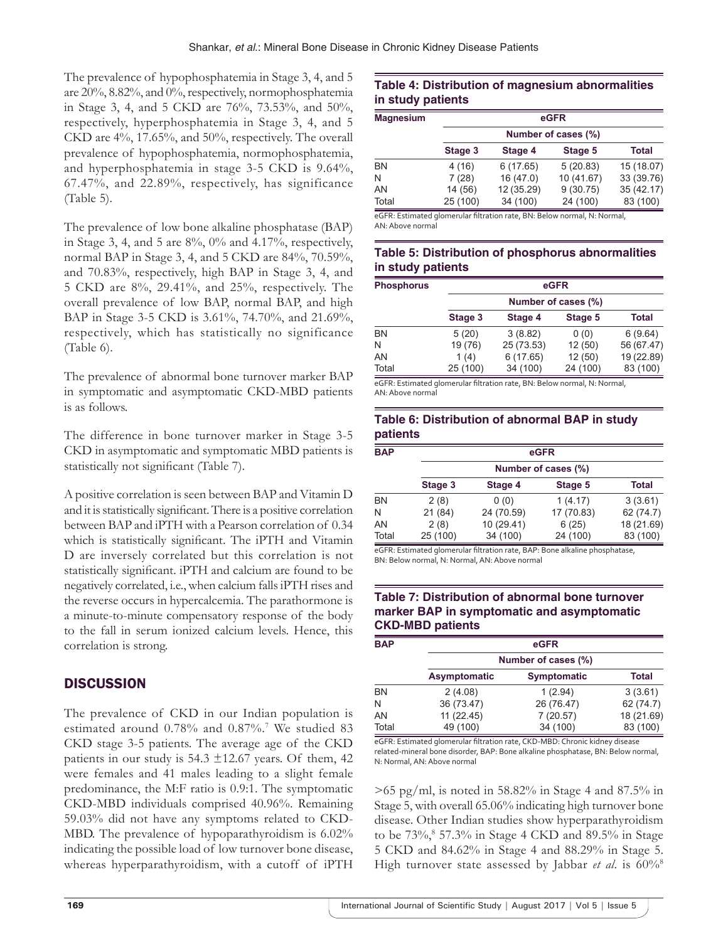The prevalence of hypophosphatemia in Stage 3, 4, and 5 are 20%, 8.82%, and 0%, respectively, normophosphatemia in Stage 3, 4, and 5 CKD are 76%, 73.53%, and 50%, respectively, hyperphosphatemia in Stage 3, 4, and 5 CKD are 4%, 17.65%, and 50%, respectively. The overall prevalence of hypophosphatemia, normophosphatemia, and hyperphosphatemia in stage 3-5 CKD is 9.64%, 67.47%, and 22.89%, respectively, has significance (Table 5).

The prevalence of low bone alkaline phosphatase (BAP) in Stage 3, 4, and 5 are  $8\%$ ,  $0\%$  and 4.17%, respectively, normal BAP in Stage 3, 4, and 5 CKD are 84%, 70.59%, and 70.83%, respectively, high BAP in Stage 3, 4, and 5 CKD are 8%, 29.41%, and 25%, respectively. The overall prevalence of low BAP, normal BAP, and high BAP in Stage 3-5 CKD is 3.61%, 74.70%, and 21.69%, respectively, which has statistically no significance (Table 6).

The prevalence of abnormal bone turnover marker BAP in symptomatic and asymptomatic CKD-MBD patients is as follows.

The difference in bone turnover marker in Stage 3-5 CKD in asymptomatic and symptomatic MBD patients is statistically not significant (Table 7).

A positive correlation is seen between BAP and Vitamin D and it is statistically significant. There is a positive correlation between BAP and iPTH with a Pearson correlation of 0.34 which is statistically significant. The iPTH and Vitamin D are inversely correlated but this correlation is not statistically significant. iPTH and calcium are found to be negatively correlated, i.e., when calcium falls iPTH rises and the reverse occurs in hypercalcemia. The parathormone is a minute-to-minute compensatory response of the body to the fall in serum ionized calcium levels. Hence, this correlation is strong.

# **DISCUSSION**

The prevalence of CKD in our Indian population is estimated around 0.78% and 0.87%.7 We studied 83 CKD stage 3-5 patients. The average age of the CKD patients in our study is  $54.3 \pm 12.67$  years. Of them, 42 were females and 41 males leading to a slight female predominance, the M:F ratio is 0.9:1. The symptomatic CKD-MBD individuals comprised 40.96%. Remaining 59.03% did not have any symptoms related to CKD-MBD. The prevalence of hypoparathyroidism is 6.02% indicating the possible load of low turnover bone disease, whereas hyperparathyroidism, with a cutoff of iPTH

## **Table 4: Distribution of magnesium abnormalities in study patients**

| <b>Magnesium</b> | eGFR                |            |            |            |  |
|------------------|---------------------|------------|------------|------------|--|
|                  | Number of cases (%) |            |            |            |  |
|                  | Stage 3             | Stage 4    | Stage 5    | Total      |  |
| <b>BN</b>        | 4 (16)              | 6(17.65)   | 5(20.83)   | 15 (18.07) |  |
| N                | 7(28)               | 16 (47.0)  | 10 (41.67) | 33 (39.76) |  |
| AN               | 14 (56)             | 12 (35.29) | 9(30.75)   | 35 (42.17) |  |
| Total            | 25 (100)            | 34 (100)   | 24 (100)   | 83 (100)   |  |

eGFR: Estimated glomerular filtration rate, BN: Below normal, N: Normal, AN:Above normal

#### **Table 5: Distribution of phosphorus abnormalities in study patients**

| <b>Phosphorus</b> | eGFR<br>Number of cases (%) |            |          |            |  |
|-------------------|-----------------------------|------------|----------|------------|--|
|                   |                             |            |          |            |  |
|                   | Stage 3                     | Stage 4    | Stage 5  | Total      |  |
| <b>BN</b>         | 5(20)                       | 3(8.82)    | 0(0)     | 6(9.64)    |  |
| N                 | 19 (76)                     | 25 (73.53) | 12(50)   | 56 (67.47) |  |
| AN                | 1(4)                        | 6(17.65)   | 12(50)   | 19 (22.89) |  |
| Total             | 25 (100)                    | 34 (100)   | 24 (100) | 83 (100)   |  |

eGFR: Estimated glomerular filtration rate, BN: Below normal, N: Normal, AN: Above normal

#### **Table 6: Distribution of abnormal BAP in study patients**

| <b>BAP</b> |          | eGFR                |            |              |  |  |  |
|------------|----------|---------------------|------------|--------------|--|--|--|
|            |          | Number of cases (%) |            |              |  |  |  |
|            | Stage 3  | Stage 4             | Stage 5    | <b>Total</b> |  |  |  |
| BN         | 2(8)     | 0(0)                | 1(4.17)    | 3(3.61)      |  |  |  |
| N          | 21 (84)  | 24 (70.59)          | 17 (70.83) | 62 (74.7)    |  |  |  |
| AN         | 2(8)     | 10 (29.41)          | 6(25)      | 18 (21.69)   |  |  |  |
| Total      | 25 (100) | 34 (100)            | 24 (100)   | 83 (100)     |  |  |  |

eGFR: Estimated glomerular filtration rate, BAP: Bone alkaline phosphatase, BN: Below normal, N: Normal, AN: Above normal

#### **Table 7: Distribution of abnormal bone turnover marker BAP in symptomatic and asymptomatic CKD‑MBD patients**

| <b>BAP</b> |                     | eGFR               |              |  |  |  |
|------------|---------------------|--------------------|--------------|--|--|--|
|            | Number of cases (%) |                    |              |  |  |  |
|            | Asymptomatic        | <b>Symptomatic</b> | <b>Total</b> |  |  |  |
| <b>BN</b>  | 2(4.08)             | 1(2.94)            | 3(3.61)      |  |  |  |
| N          | 36 (73.47)          | 26 (76.47)         | 62 (74.7)    |  |  |  |
| AN         | 11(22.45)           | 7(20.57)           | 18 (21.69)   |  |  |  |
| Total      | 49 (100)            | 34 (100)           | 83 (100)     |  |  |  |

eGFR: Estimated glomerular filtration rate, CKD‑MBD: Chronic kidney disease related‑mineral bone disorder, BAP: Bone alkaline phosphatase, BN: Below normal, N: Normal, AN: Above normal

 $>65$  pg/ml, is noted in 58.82% in Stage 4 and 87.5% in Stage 5, with overall 65.06% indicating high turnover bone disease. Other Indian studies show hyperparathyroidism to be 73%,<sup>8</sup> 57.3% in Stage 4 CKD and 89.5% in Stage 5 CKD and 84.62% in Stage 4 and 88.29% in Stage 5. High turnover state assessed by Jabbar *et al*. is 60%<sup>8</sup>